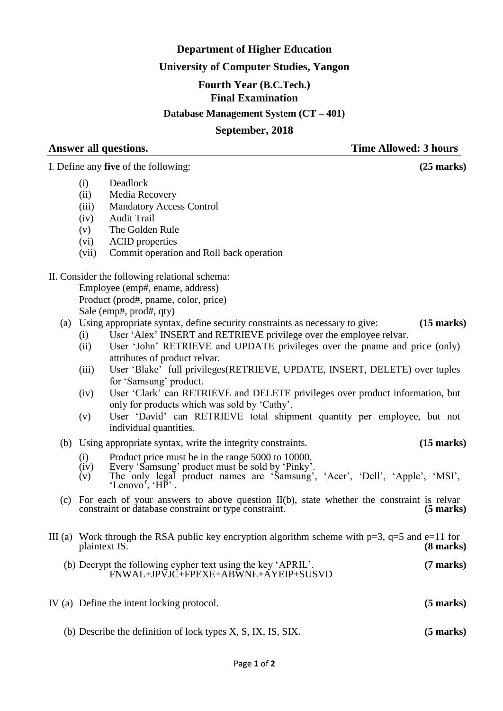# **Department of Higher Education**

## **University of Computer Studies, Yangon**

### **Fourth Year (B.C.Tech.)**

**Final Examination**

**Database Management System (CT – 401)**

### **September, 2018**

**Answer all questions. Time Allowed: 3 hours**

I. Define any **five** of the following: **(25 marks)**

- (i) Deadlock
- (ii) Media Recovery
- (iii) Mandatory Access Control
- (iv) Audit Trail
- (v) The Golden Rule
- (vi) ACID properties
- (vii) Commit operation and Roll back operation
- II. Consider the following relational schema: Employee (emp#, ename, address) Product (prod#, pname, color, price) Sale (emp#, prod#, qty)
	- (a) Using appropriate syntax, define security constraints as necessary to give: **(15 marks)**
		- (i) User "Alex" INSERT and RETRIEVE privilege over the employee relvar.
		- (ii) User "John" RETRIEVE and UPDATE privileges over the pname and price (only) attributes of product relvar.
		- (iii) User "Blake" full privileges(RETRIEVE, UPDATE, INSERT, DELETE) over tuples for 'Samsung' product.
		- (iv) User "Clark" can RETRIEVE and DELETE privileges over product information, but only for products which was sold by "Cathy".
		- (v) User "David" can RETRIEVE total shipment quantity per employee, but not individual quantities.
	- (b) Using appropriate syntax, write the integrity constraints. **(15 marks)**
		- $(i)$  Product price must be in the range 5000 to 10000.
		- (iv) Every "Samsung" product must be sold by "Pinky".
		- (v) The only legal product names are "Samsung", "Acer", "Dell", "Apple", "MSI", 'Lenovo', 'HP'.
	- (c) For each of your answers to above question  $II(b)$ , state whether the constraint is relvar constraint or database constraint or type constraint. (5 marks) constraint or database constraint or type constraint. **(5 marks)**
- III (a) Work through the RSA public key encryption algorithm scheme with  $p=3$ ,  $q=5$  and  $e=11$  for plaintext IS. (8 marks) plaintext IS.
	- (b) Decrypt the following cypher text using the key "APRIL". **(7 marks)** FNWAL+JPVJC+FPEXE+ABWNE+AYEIP+SUSVD
- IV (a) Define the intent locking protocol. **(5 marks)**
	- (b) Describe the definition of lock types X, S, IX, IS, SIX. **(5 marks)**